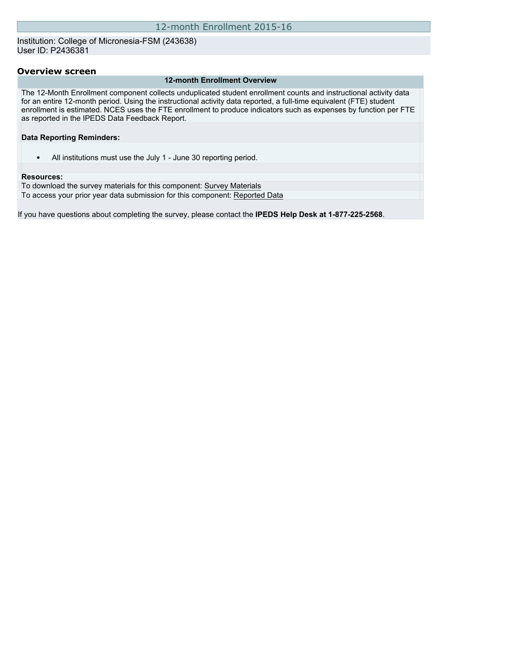Institution: College of Micronesia-FSM (243638) User ID: P2436381

### **Overview screen**

#### **12-month Enrollment Overview**

The 12-Month Enrollment component collects unduplicated student enrollment counts and instructional activity data for an entire 12-month period. Using the instructional activity data reported, a full-time equivalent (FTE) student enrollment is estimated. NCES uses the FTE enrollment to produce indicators such as expenses by function per FTE as reported in the IPEDS Data Feedback Report.

### **Data Reporting Reminders:**

• All institutions must use the July 1 - June 30 reporting period.

#### **Resources:**

To download the survey materials for this component: [Survey Materials](https://surveys.nces.ed.gov/ipeds/VisIndex.aspx) To access your prior year data submission for this component: [Reported Data](http://192.168.102.89/IPEDS/PriorYearDataRedirect.aspx?survey_id=9)

If you have questions about completing the survey, please contact the **IPEDS Help Desk at 1-877-225-2568**.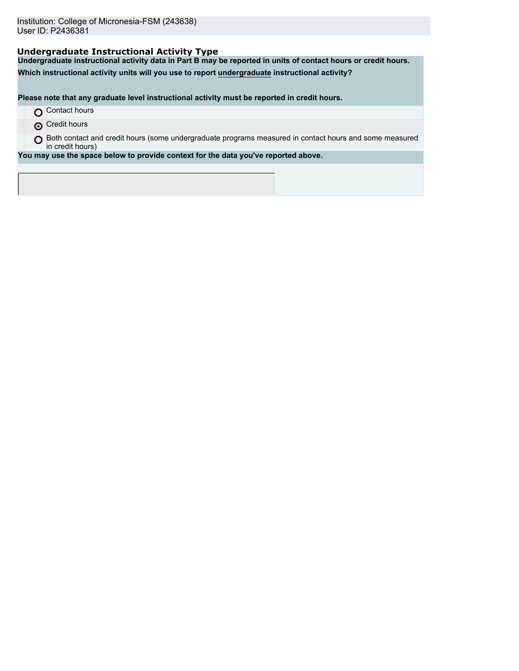## **Undergraduate Instructional Activity Type**

**Undergraduate instructional activity data in Part B may be reported in units of contact hours or credit hours.**

**Which instructional activity units will you use to report undergraduate instructional activity?**

**Please note that any graduate level instructional activity must be reported in credit hours.**

- **O** Contact hours
- **O** Credit hours
- O Both contact and credit hours (some undergraduate programs measured in contact hours and some measured in credit hours)

**You may use the space below to provide context for the data you've reported above.**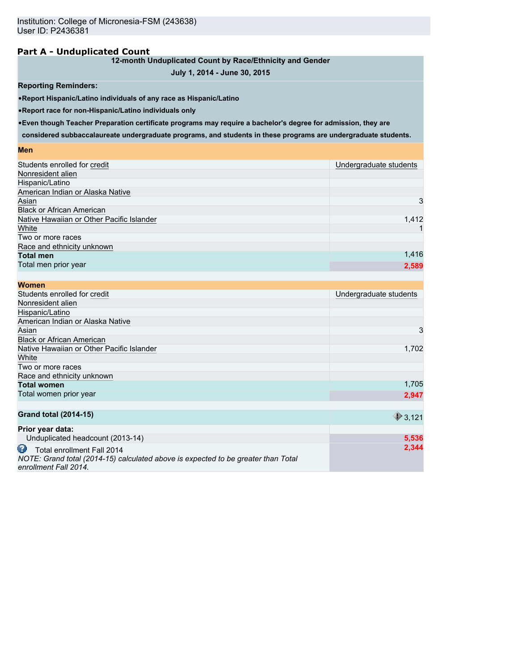## **Part A - Unduplicated Count**

### **12-month Unduplicated Count by Race/Ethnicity and Gender**

## **July 1, 2014 - June 30, 2015**

### **Reporting Reminders:**

•**Report Hispanic/Latino individuals of any race as Hispanic/Latino**

•**Report race for non-Hispanic/Latino individuals only**

•**Even though Teacher Preparation certificate programs may require a bachelor's degree for admission, they are**

**considered subbaccalaureate undergraduate programs, and students in these programs are undergraduate students.**

### **Men**

| Students enrolled for credit              | Undergraduate students |
|-------------------------------------------|------------------------|
| Nonresident alien                         |                        |
| Hispanic/Latino                           |                        |
| American Indian or Alaska Native          |                        |
| Asian                                     | 3                      |
| <b>Black or African American</b>          |                        |
| Native Hawaiian or Other Pacific Islander | 1,412                  |
| White                                     |                        |
| Two or more races                         |                        |
| Race and ethnicity unknown                |                        |
| <b>Total men</b>                          | 1,416                  |
| Total men prior year                      | 2,589                  |
|                                           |                        |

| <b>Women</b>                                                                                                                                  |                        |
|-----------------------------------------------------------------------------------------------------------------------------------------------|------------------------|
| Students enrolled for credit                                                                                                                  | Undergraduate students |
| Nonresident alien                                                                                                                             |                        |
| Hispanic/Latino                                                                                                                               |                        |
| American Indian or Alaska Native                                                                                                              |                        |
| Asian                                                                                                                                         | 3                      |
| <b>Black or African American</b>                                                                                                              |                        |
| Native Hawaiian or Other Pacific Islander                                                                                                     | 1,702                  |
| White                                                                                                                                         |                        |
| Two or more races                                                                                                                             |                        |
| Race and ethnicity unknown                                                                                                                    |                        |
| <b>Total women</b>                                                                                                                            | 1,705                  |
| Total women prior year                                                                                                                        | 2,947                  |
|                                                                                                                                               |                        |
| <b>Grand total (2014-15)</b>                                                                                                                  | $\bigcirc$ 3,121       |
| Prior year data:                                                                                                                              |                        |
| Unduplicated headcount (2013-14)                                                                                                              | 5,536                  |
| Ø<br>Total enrollment Fall 2014<br>NOTE: Grand total (2014-15) calculated above is expected to be greater than Total<br>enrollment Fall 2014. | 2,344                  |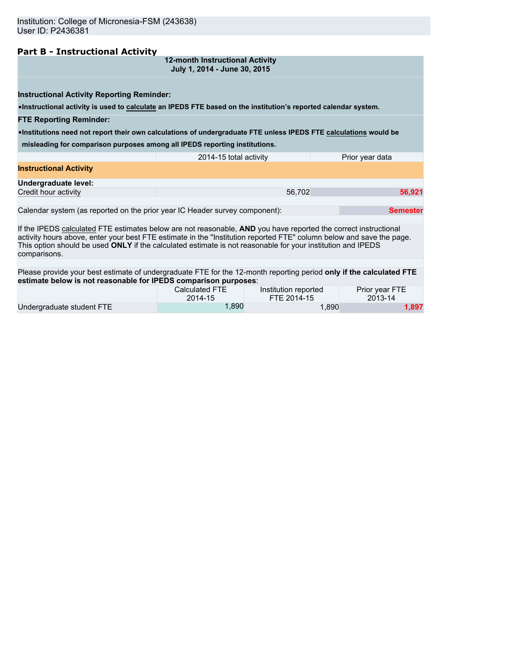## **Part B - Instructional Activity**

**12-month Instructional Activity July 1, 2014 - June 30, 2015**

**Instructional Activity Reporting Reminder:**

•**Instructional activity is used to calculate an IPEDS FTE based on the institution's reported calendar system.**

#### **FTE Reporting Reminder:**

•**Institutions need not report their own calculations of undergraduate FTE unless IPEDS FTE calculations would be**

**misleading for comparison purposes among all IPEDS reporting institutions.**

|                               | 2014-15 total activity | Prior year data |
|-------------------------------|------------------------|-----------------|
| <b>Instructional Activity</b> |                        |                 |
| Undergraduate level:          |                        |                 |
| Credit hour activity          | 56.702                 | 56,921          |
|                               |                        |                 |

Calendar system (as reported on the prior year IC Header survey component): **Semester Semester** 

If the IPEDS calculated FTE estimates below are not reasonable, **AND** you have reported the correct instructional activity hours above, enter your best FTE estimate in the "Institution reported FTE" column below and save the page. This option should be used **ONLY** if the calculated estimate is not reasonable for your institution and IPEDS comparisons.

Please provide your best estimate of undergraduate FTE for the 12-month reporting period **only if the calculated FTE estimate below is not reasonable for IPEDS comparison purposes**:

|                           | Calculated FTE | Institution reported | Prior year FTE |
|---------------------------|----------------|----------------------|----------------|
|                           | 2014-15        | FTE 2014-15          | 2013-14        |
| Undergraduate student FTE | .890           | 890.ا                | 1,897          |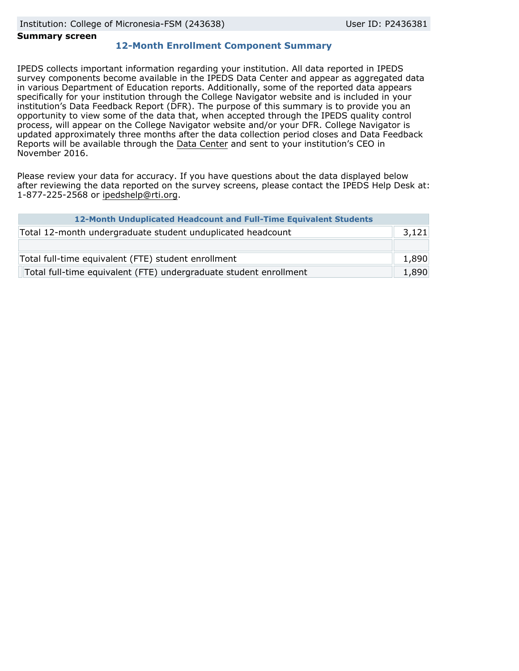### **Summary screen**

## **12-Month Enrollment Component Summary**

IPEDS collects important information regarding your institution. All data reported in IPEDS survey components become available in the IPEDS Data Center and appear as aggregated data in various Department of Education reports. Additionally, some of the reported data appears specifically for your institution through the College Navigator website and is included in your institution's Data Feedback Report (DFR). The purpose of this summary is to provide you an opportunity to view some of the data that, when accepted through the IPEDS quality control process, will appear on the College Navigator website and/or your DFR. College Navigator is updated approximately three months after the data collection period closes and Data Feedback Reports will be available through the [Data Center](http://nces.ed.gov/ipeds/datacenter/) and sent to your institution's CEO in November 2016.

Please review your data for accuracy. If you have questions about the data displayed below after reviewing the data reported on the survey screens, please contact the IPEDS Help Desk at: 1-877-225-2568 or ipedshelp@rti.org.

| 12-Month Unduplicated Headcount and Full-Time Equivalent Students |       |
|-------------------------------------------------------------------|-------|
| Total 12-month undergraduate student unduplicated headcount       | 3,121 |
|                                                                   |       |
| Total full-time equivalent (FTE) student enrollment               | 1,890 |
| Total full-time equivalent (FTE) undergraduate student enrollment | 1,890 |